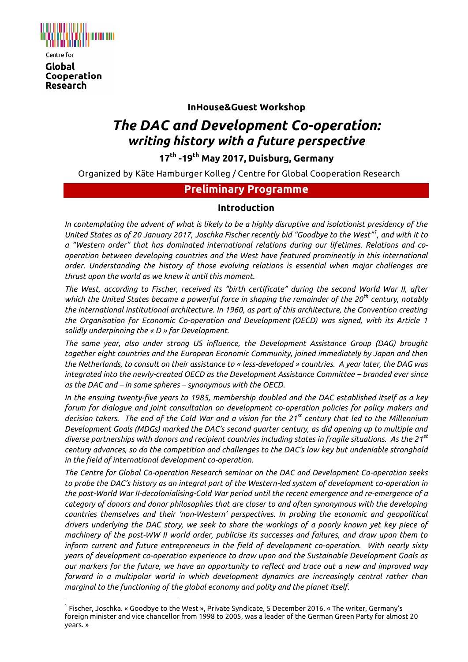

Research

**InHouse&Guest Workshop**

# *The DAC and Development Co-operation: writing history with a future perspective*

**17 th -19th May 2017, Duisburg, Germany**

Organized by Käte Hamburger Kolleg / Centre for Global Cooperation Research

### **Preliminary Programme**

#### **Introduction**

*In contemplating the advent of what is likely to be a highly disruptive and isolationist presidency of the United States as of 20 January 2017, Joschka Fischer recently bid "Goodbye to the West"<sup>1</sup> , and with it to a "Western order" that has dominated international relations during our lifetimes. Relations and cooperation between developing countries and the West have featured prominently in this international order. Understanding the history of those evolving relations is essential when major challenges are thrust upon the world as we knew it until this moment.*

*The West, according to Fischer, received its "birth certificate" during the second World War II, after which the United States became a powerful force in shaping the remainder of the 20th century, notably the international institutional architecture. In 1960, as part of this architecture, the Convention creating the Organisation for Economic Co-operation and Development (OECD) was signed, with its Article 1 solidly underpinning the « D » for Development.* 

*The same year, also under strong US influence, the Development Assistance Group (DAG) brought together eight countries and the European Economic Community, joined immediately by Japan and then the Netherlands, to consult on their assistance to « less-developed » countries. A year later, the DAG was integrated into the newly-created OECD as the Development Assistance Committee – branded ever since as the DAC and – in some spheres – synonymous with the OECD.* 

*In the ensuing twenty-five years to 1985, membership doubled and the DAC established itself as a key forum for dialogue and joint consultation on development co-operation policies for policy makers and decision takers. The end of the Cold War and a vision for the 21st century that led to the Millennium Development Goals (MDGs) marked the DAC's second quarter century, as did opening up to multiple and diverse partnerships with donors and recipient countries including states in fragile situations. As the 21st century advances, so do the competition and challenges to the DAC's low key but undeniable stronghold in the field of international development co-operation.* 

*The Centre for Global Co-operation Research seminar on the DAC and Development Co-operation seeks to probe the DAC's history as an integral part of the Western-led system of development co-operation in the post-World War II-decolonialising-Cold War period until the recent emergence and re-emergence of a category of donors and donor philosophies that are closer to and often synonymous with the developing countries themselves and their 'non-Western' perspectives. In probing the economic and geopolitical drivers underlying the DAC story, we seek to share the workings of a poorly known yet key piece of machinery of the post-WW II world order, publicise its successes and failures, and draw upon them to inform current and future entrepreneurs in the field of development co-operation. With nearly sixty years of development co-operation experience to draw upon and the Sustainable Development Goals as our markers for the future, we have an opportunity to reflect and trace out a new and improved way forward in a multipolar world in which development dynamics are increasingly central rather than marginal to the functioning of the global economy and polity and the planet itself.*

 $\overline{a}$  $^{\rm 1}$  Fischer, Joschka. « Goodbye to the West », Private Syndicate, 5 December 2016. « The writer, Germany's foreign minister and vice chancellor from 1998 to 2005, was a leader of the German Green Party for almost 20 years. »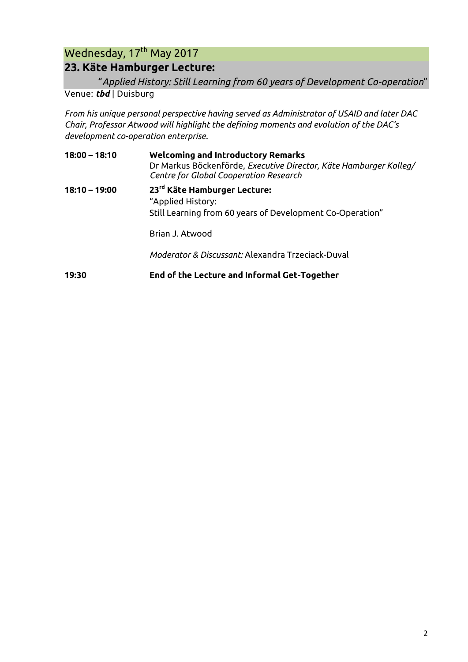## Wednesday, 17<sup>th</sup> May 2017 **23. Käte Hamburger Lecture:**

### "*Applied History: Still Learning from 60 years of Development Co-operation*"

Venue: *tbd* | Duisburg

*From his unique personal perspective having served as Administrator of USAID and later DAC Chair, Professor Atwood will highlight the defining moments and evolution of the DAC's development co-operation enterprise.*

| $18:00 - 18:10$ | <b>Welcoming and Introductory Remarks</b><br>Dr Markus Böckenförde, Executive Director, Käte Hamburger Kolleg/<br>Centre for Global Cooperation Research |
|-----------------|----------------------------------------------------------------------------------------------------------------------------------------------------------|
| $18:10 - 19:00$ | 23rd Käte Hamburger Lecture:<br>"Applied History:<br>Still Learning from 60 years of Development Co-Operation"                                           |
|                 | Brian J. Atwood                                                                                                                                          |
|                 | Moderator & Discussant: Alexandra Trzeciack-Duval                                                                                                        |
| 19:30           | End of the Lecture and Informal Get-Together                                                                                                             |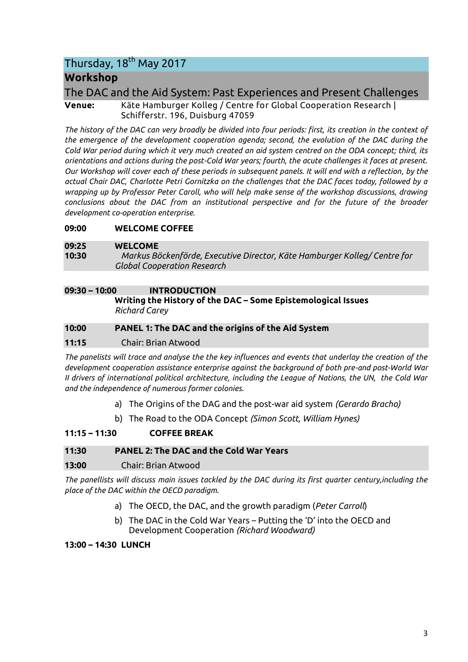## Thursday, 18<sup>th</sup> May 2017

## **Workshop**

The DAC and the Aid System: Past Experiences and Present Challenges

**Venue:** Käte Hamburger Kolleg / Centre for Global Cooperation Research | Schifferstr. 196, Duisburg 47059

*The history of the DAC can very broadly be divided into four periods: first, its creation in the context of the emergence of the development cooperation agenda; second, the evolution of the DAC during the Cold War period during which it very much created an aid system centred on the ODA concept; third, its orientations and actions during the post-Cold War years; fourth, the acute challenges it faces at present. Our Workshop will cover each of these periods in subsequent panels. It will end with a reflection, by the actual Chair DAC, Charlotte Petri Gornitzka on the challenges that the DAC faces today, followed by a wrapping up by Professor Peter Caroll, who will help make sense of the workshop discussions, drawing conclusions about the DAC from an institutional perspective and for the future of the broader development co-operation enterprise.* 

**09:00 WELCOME COFFEE** 

#### **09:25 WELCOME**

**10:30** *Markus Böckenförde, Executive Director, Käte Hamburger Kolleg/ Centre for Global Cooperation Research*

#### **09:30 – 10:00 INTRODUCTION**

**Writing the History of the DAC – Some Epistemological Issues** *Richard Carey*

#### **10:00 PANEL 1: The DAC and the origins of the Aid System**

#### **11:15** Chair: Brian Atwood

*The panelists will trace and analyse the the key influences and events that underlay the creation of the development cooperation assistance enterprise against the background of both pre-and post-World War II drivers of international political architecture, including the League of Nations, the UN, the Cold War and the independence of numerous former colonies.*

- a) The Origins of the DAG and the post-war aid system *(Gerardo Bracho)*
- b) The Road to the ODA Concept *(Simon Scott, William Hynes)*

#### **11:15 – 11:30 COFFEE BREAK**

#### **11:30 PANEL 2: The DAC and the Cold War Years**

#### **13:00** Chair: Brian Atwood

*The panellists will discuss main issues tackled by the DAC during its first quarter century,including the place of the DAC within the OECD paradigm.*

- a) The OECD, the DAC, and the growth paradigm (*Peter Carroll*)
- b) The DAC in the Cold War Years Putting the 'D' into the OECD and Development Cooperation *(Richard Woodward)*

#### **13:00 – 14:30 LUNCH**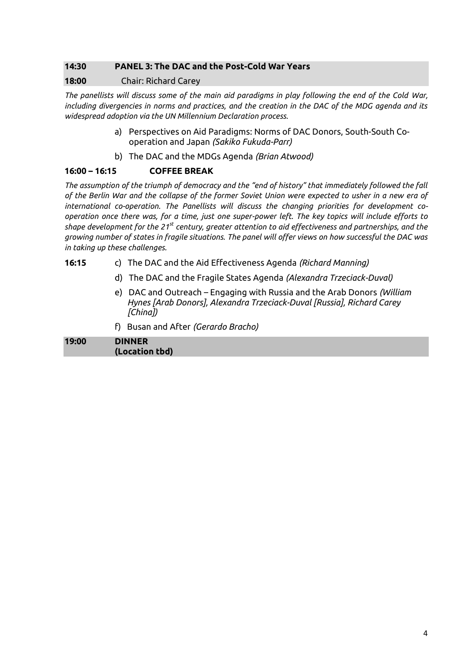#### **14:30 PANEL 3: The DAC and the Post-Cold War Years**

#### **18:00** Chair: Richard Carey

*The panellists will discuss some of the main aid paradigms in play following the end of the Cold War, including divergencies in norms and practices, and the creation in the DAC of the MDG agenda and its widespread adoption via the UN Millennium Declaration process.*

- a) Perspectives on Aid Paradigms: Norms of DAC Donors, South-South Cooperation and Japan *(Sakiko Fukuda-Parr)*
- b) The DAC and the MDGs Agenda *(Brian Atwood)*

#### **16:00 – 16:15 COFFEE BREAK**

*The assumption of the triumph of democracy and the "end of history" that immediately followed the fall of the Berlin War and the collapse of the former Soviet Union were expected to usher in a new era of international co-operation. The Panellists will discuss the changing priorities for development cooperation once there was, for a time, just one super-power left. The key topics will include efforts to shape development for the 21st century, greater attention to aid effectiveness and partnerships, and the growing number of states in fragile situations. The panel will offer views on how successful the DAC was in taking up these challenges.* 

- **16:15** c) The DAC and the Aid Effectiveness Agenda *(Richard Manning)*
	- d) The DAC and the Fragile States Agenda *(Alexandra Trzeciack-Duval)*
	- e) DAC and Outreach Engaging with Russia and the Arab Donors *(William Hynes [Arab Donors], Alexandra Trzeciack-Duval [Russia], Richard Carey [China])*
	- f) Busan and After *(Gerardo Bracho)*

| 19:00 | <b>DINNER</b>  |
|-------|----------------|
|       | (Location tbd) |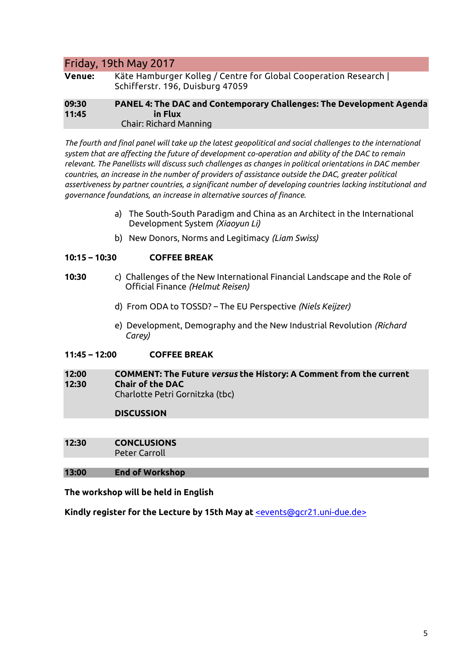### Friday, 19th May 2017

| <b>Venue:</b>  | Käte Hamburger Kolleg / Centre for Global Cooperation Research  <br>Schifferstr. 196, Duisburg 47059 |
|----------------|------------------------------------------------------------------------------------------------------|
| 09:30<br>11:45 | PANEL 4: The DAC and Contemporary Challenges: The Development Agenda<br>in Flux                      |
|                | <b>Chair: Richard Manning</b>                                                                        |

*The fourth and final panel will take up the latest geopolitical and social challenges to the international system that are affecting the future of development co-operation and ability of the DAC to remain relevant. The Panellists will discuss such challenges as changes in political orientations in DAC member countries, an increase in the number of providers of assistance outside the DAC, greater political assertiveness by partner countries, a significant number of developing countries lacking institutional and governance foundations, an increase in alternative sources of finance.* 

- a) The South-South Paradigm and China as an Architect in the International Development System *(Xiaoyun Li)*
- b) New Donors, Norms and Legitimacy *(Liam Swiss)*

#### **10:15 – 10:30 COFFEE BREAK**

- **10:30** c) Challenges of the New International Financial Landscape and the Role of Official Finance *(Helmut Reisen)*
	- d) From ODA to TOSSD? The EU Perspective *(Niels Keijzer)*
	- e) Development, Demography and the New Industrial Revolution *(Richard Carey)*

#### **11:45 – 12:00 COFFEE BREAK**

**12:00 COMMENT: The Future** *versus* **the History: A Comment from the current 12:30 Chair of the DAC** Charlotte Petri Gornitzka (tbc)

#### **DISCUSSION**

**12:30 CONCLUSIONS** Peter Carroll

#### **13:00 End of Workshop**

**The workshop will be held in English**

**Kindly register for the Lecture by 15th May at** [<events@gcr21.uni-due.de>](mailto:events@gcr21.uni-due.de)